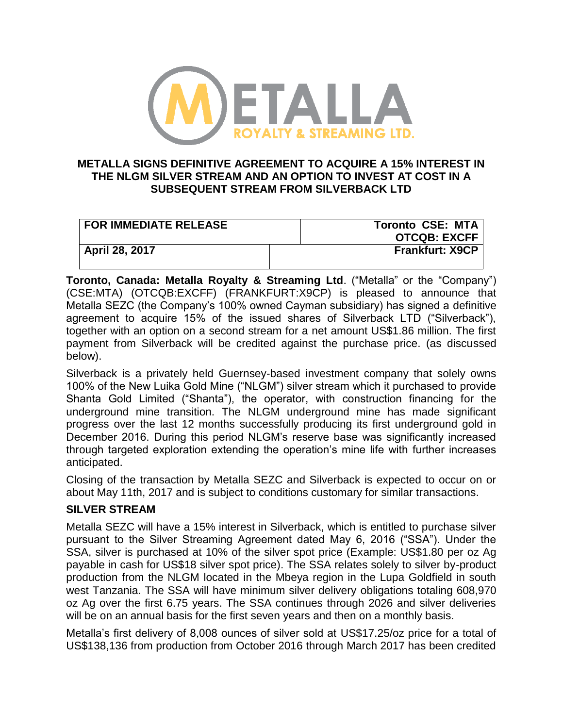

## **METALLA SIGNS DEFINITIVE AGREEMENT TO ACQUIRE A 15% INTEREST IN THE NLGM SILVER STREAM AND AN OPTION TO INVEST AT COST IN A SUBSEQUENT STREAM FROM SILVERBACK LTD**

| <b>FOR IMMEDIATE RELEASE</b> | <b>Toronto CSE: MTA</b> |
|------------------------------|-------------------------|
|                              | <b>OTCQB: EXCFF</b>     |
| April 28, 2017               | <b>Frankfurt: X9CP</b>  |

**Toronto, Canada: Metalla Royalty & Streaming Ltd**. ("Metalla" or the "Company") (CSE:MTA) (OTCQB:EXCFF) (FRANKFURT:X9CP) is pleased to announce that Metalla SEZC (the Company's 100% owned Cayman subsidiary) has signed a definitive agreement to acquire 15% of the issued shares of Silverback LTD ("Silverback"), together with an option on a second stream for a net amount US\$1.86 million. The first payment from Silverback will be credited against the purchase price. (as discussed below).

Silverback is a privately held Guernsey-based investment company that solely owns 100% of the New Luika Gold Mine ("NLGM") silver stream which it purchased to provide Shanta Gold Limited ("Shanta"), the operator, with construction financing for the underground mine transition. The NLGM underground mine has made significant progress over the last 12 months successfully producing its first underground gold in December 2016. During this period NLGM's reserve base was significantly increased through targeted exploration extending the operation's mine life with further increases anticipated.

Closing of the transaction by Metalla SEZC and Silverback is expected to occur on or about May 11th, 2017 and is subject to conditions customary for similar transactions.

## **SILVER STREAM**

Metalla SEZC will have a 15% interest in Silverback, which is entitled to purchase silver pursuant to the Silver Streaming Agreement dated May 6, 2016 ("SSA"). Under the SSA, silver is purchased at 10% of the silver spot price (Example: US\$1.80 per oz Ag payable in cash for US\$18 silver spot price). The SSA relates solely to silver by-product production from the NLGM located in the Mbeya region in the Lupa Goldfield in south west Tanzania. The SSA will have minimum silver delivery obligations totaling 608,970 oz Ag over the first 6.75 years. The SSA continues through 2026 and silver deliveries will be on an annual basis for the first seven years and then on a monthly basis.

Metalla's first delivery of 8,008 ounces of silver sold at US\$17.25/oz price for a total of US\$138,136 from production from October 2016 through March 2017 has been credited